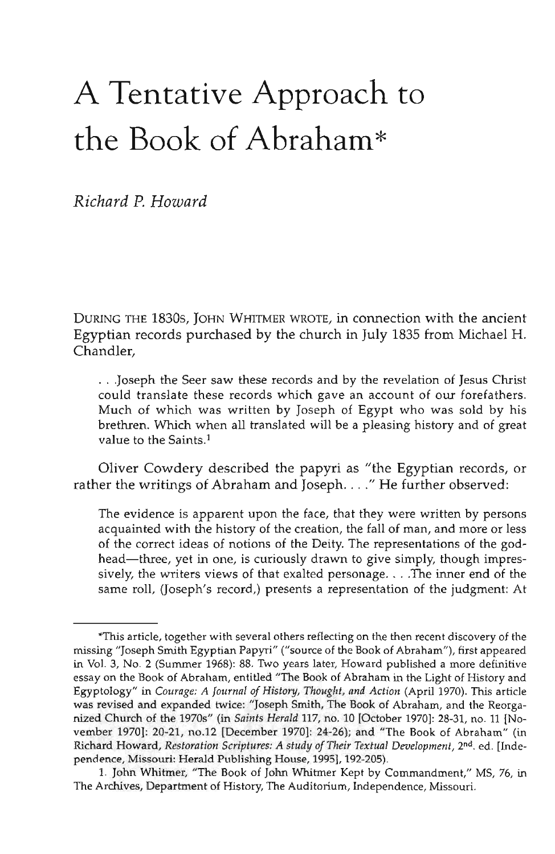## A Tentative Approach to the Book of Abraham\*

*Richard P. Howard*

DURING THE 1830S, JOHN WHITMER WROTE, in connection with the ancient Egyptian records purchased by the church in July 1835 from Michael H. Chandler,

. . Joseph the Seer saw these records and by the revelation of Jesus Christ could translate these records which gave an account of our forefathers. Much of which was written by Joseph of Egypt who was sold by his brethren. Which when all translated will be a pleasing history and of great value to the Saints.<sup>1</sup>

Oliver Cowdery described the papyri as "the Egyptian records, or rather the writings of Abraham and Joseph. . . ." He further observed:

The evidence is apparent upon the face, that they were written by persons acquainted with the history of the creation, the fall of man, and more or less of the correct ideas of notions of the Deity. The representations of the godhead—three, yet in one, is curiously drawn to give simply, though impressively, the writers views of that exalted personage. . . .The inner end of the same roll, (Joseph's record,) presents a representation of the judgment: At

This article, together with several others reflecting on the then recent discovery of the missing "Joseph Smith Egyptian Papyri" ("source of the Book of Abraham"), first appeared in Vol. 3, No. 2 (Summer 1968): 88. Two years later, Howard published a more definitive essay on the Book of Abraham, entitled "The Book of Abraham in the Light of History and Egyptology" in *Courage: A Journal of History, Thought, and Action* (April 1970). This article was revised and expanded twice: "Joseph Smith, The Book of Abraham, and the Reorganized Church of the 1970s" (in *Saints Herald* 117, no. 10 [October 1970]: 28-31, no. 11 [November 1970]: 20-21, no.12 [December 1970]: 24-26); and "The Book of Abraham" (in Richard Howard, *Restoration Scriptures: A study of Their Textual Development,* 2nd. ed. [Independence, Missouri: Herald Publishing House, 1995], 192-205).

<sup>1.</sup> John Whitmer, "The Book of John Whitmer Kept by Commandment," MS, 76, in The Archives, Department of History, The Auditorium, Independence, Missouri.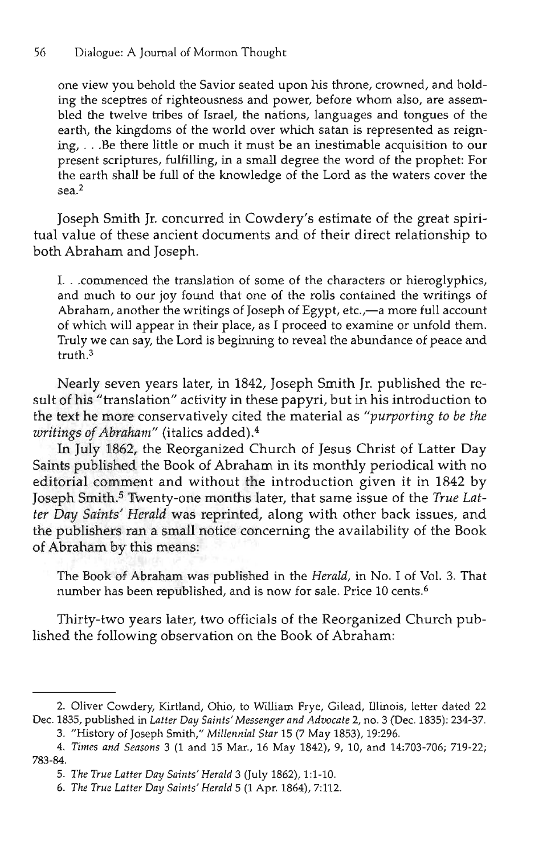one view you behold the Savior seated upon his throne, crowned, and holding the sceptres of righteousness and power, before whom also, are assembled the twelve tribes of Israel, the nations, languages and tongues of the earth, the kingdoms of the world over which satan is represented as reigning, . . .Be there little or much it must be an inestimable acquisition to our present scriptures, fulfilling, in a small degree the word of the prophet: For the earth shall be full of the knowledge of the Lord as the waters cover the sea.<sup>2</sup>

Joseph Smith Jr. concurred in Cowdery's estimate of the great spiritual value of these ancient documents and of their direct relationship to both Abraham and Joseph.

I. . .commenced the translation of some of the characters or hieroglyphics, and much to our joy found that one of the rolls contained the writings of Abraham, another the writings of Joseph of Egypt, etc.,—a more full account of which will appear in their place, as I proceed to examine or unfold them. Truly we can say, the Lord is beginning to reveal the abundance of peace and truth.3

Nearly seven years later, in 1842, Joseph Smith Jr. published the result of his "translation" activity in these papyri, but in his introduction to the text he more conservatively cited the material as *"purporting to be the writings of Abraham"* (italics added).<sup>4</sup>

In July 1862, the Reorganized Church of Jesus Christ of Latter Day Saints published the Book of Abraham in its monthly periodical with no editorial comment and without the introduction given it in 1842 by Joseph Smith.<sup>5</sup> Twenty-one months later, that same issue of the True Lat*ter Day Saints' Herald* was reprinted, along with other back issues, and the publishers ran a small notice concerning the availability of the Book of Abraham by this means:

The Book of Abraham was published in the *Herald,* in No. I of Vol. 3. That number has been republished, and is now for sale. Price 10 cents.6

Thirty-two years later, two officials of the Reorganized Church published the following observation on the Book of Abraham:

<sup>2.</sup> Oliver Cowdery, Kirtland, Ohio, to William Frye, Gilead, Illinois, letter dated 22 Dec. 1835, published in *Latter Day Saints'Messenger and Advocate 2,* no. 3 (Dec. 1835): 234-37.

<sup>3. &</sup>quot;History of Joseph Smith," *Millennial Star* 15 (7 May 1853), 19:296.

<sup>4.</sup> *Times and Seasons* 3 (1 and 15 Mar., 16 May 1842), 9, 10, and 14:703-706; 719-22; 783-84.

<sup>5.</sup> *The True Latter Day Saints'Herald* 3 (July 1862), 1:1-10.

<sup>6.</sup> *The True Latter Day Saints' Herald* 5 (1 Apr. 1864), 7:112.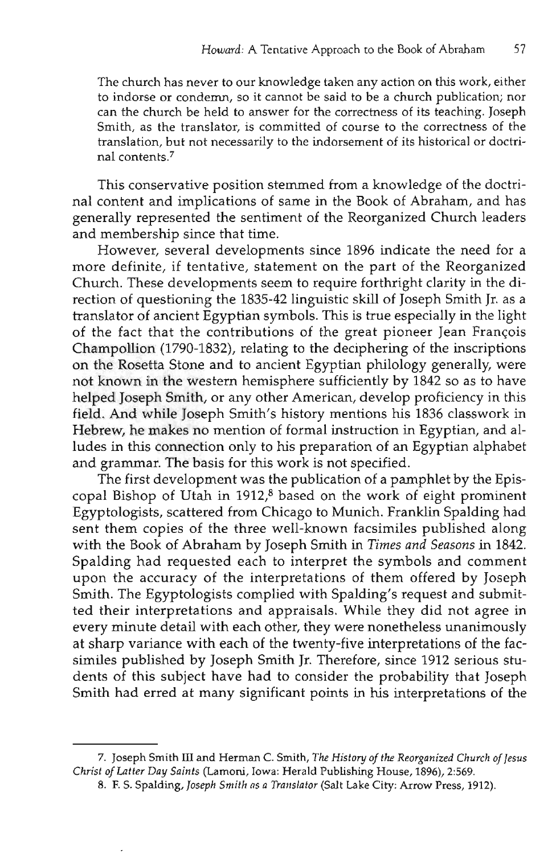The church has never to our knowledge taken any action on this work, either to indorse or condemn, so it cannot be said to be a church publication; nor can the church be held to answer for the correctness of its teaching. Joseph Smith, as the translator, is committed of course to the correctness of the translation, but not necessarily to the indorsement of its historical or doctrinal contents.<sup>7</sup>

This conservative position stemmed from a knowledge of the doctrinal content and implications of same in the Book of Abraham, and has generally represented the sentiment of the Reorganized Church leaders and membership since that time.

However, several developments since 1896 indicate the need for a more definite, if tentative, statement on the part of the Reorganized Church. These developments seem to require forthright clarity in the direction of questioning the 1835-42 linguistic skill of Joseph Smith Jr. as a translator of ancient Egyptian symbols. This is true especially in the light of the fact that the contributions of the great pioneer Jean Francois Champollion (1790-1832), relating to the deciphering of the inscriptions on the Rosetta Stone and to ancient Egyptian philology generally, were not known in the western hemisphere sufficiently by 1842 so as to have helped Joseph Smith, or any other American, develop proficiency in this field. And while Joseph Smith's history mentions his 1836 classwork in Hebrew, he makes no mention of formal instruction in Egyptian, and alludes in this connection only to his preparation of an Egyptian alphabet and grammar. The basis for this work is not specified.

The first development was the publication of a pamphlet by the Episcopal Bishop of Utah in 1912,8 based on the work of eight prominent Egyptologists, scattered from Chicago to Munich. Franklin Spalding had sent them copies of the three well-known facsimiles published along with the Book of Abraham by Joseph Smith in *Times and Seasons* in 1842. Spalding had requested each to interpret the symbols and comment upon the accuracy of the interpretations of them offered by Joseph Smith. The Egyptologists complied with Spalding's request and submitted their interpretations and appraisals. While they did not agree in every minute detail with each other, they were nonetheless unanimously at sharp variance with each of the twenty-five interpretations of the facsimiles published by Joseph Smith Jr. Therefore, since 1912 serious students of this subject have had to consider the probability that Joseph Smith had erred at many significant points in his interpretations of the

<sup>7.</sup> Joseph Smith III and Herman C. Smith, *The History of the Reorganized Church of Jesus Christ of Latter Day Saints* (Lamoni, Iowa: Herald Publishing House, 1896), 2:569.

<sup>8.</sup> F. S. Spalding, *Joseph Smith as a Translator* (Salt Lake City: Arrow Press, 1912).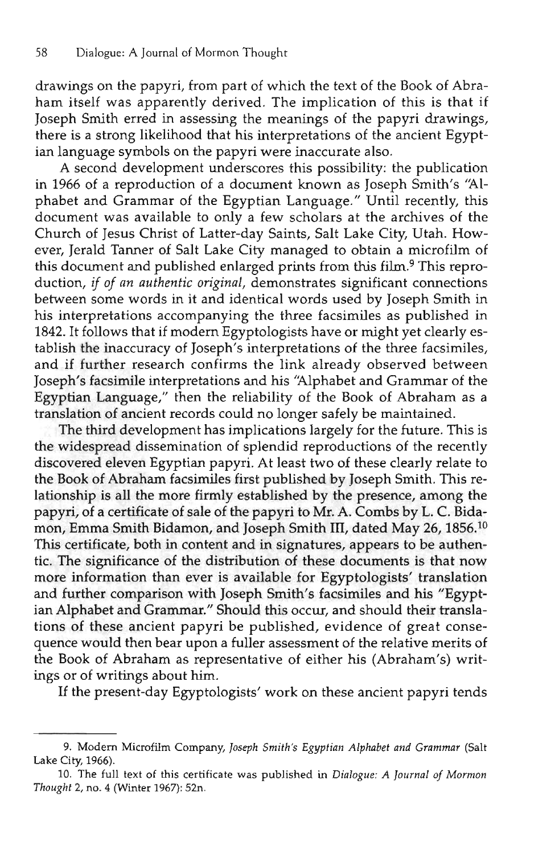drawings on the papyri, from part of which the text of the Book of Abraham itself was apparently derived. The implication of this is that if Joseph Smith erred in assessing the meanings of the papyri drawings, there is a strong likelihood that his interpretations of the ancient Egyptian language symbols on the papyri were inaccurate also.

A second development underscores this possibility: the publication in 1966 of a reproduction of a document known as Joseph Smith's 'Alphabet and Grammar of the Egyptian Language." Until recently, this document was available to only a few scholars at the archives of the Church of Jesus Christ of Latter-day Saints, Salt Lake City, Utah. However, Jerald Tanner of Salt Lake City managed to obtain a microfilm of this document and published enlarged prints from this film.<sup>9</sup> This reproduction, *if of an authentic original,* demonstrates significant connections between some words in it and identical words used by Joseph Smith in his interpretations accompanying the three facsimiles as published in 1842. It follows that if modern Egyptologists have or might yet clearly establish the inaccuracy of Joseph's interpretations of the three facsimiles, and if further research confirms the link already observed between Joseph's facsimile interpretations and his 'Alphabet and Grammar of the Egyptian Language," then the reliability of the Book of Abraham as a translation of ancient records could no longer safely be maintained.

The third development has implications largely for the future. This is the widespread dissemination of splendid reproductions of the recently discovered eleven Egyptian papyri. At least two of these clearly relate to the Book of Abraham facsimiles first published by Joseph Smith. This relationship is all the more firmly established by the presence, among the papyri, of a certificate of sale of the papyri to Mr. A. Combs by L. C. Bidamon, Emma Smith Bidamon, and Joseph Smith III, dated May 26, 1856.<sup>10</sup> This certificate, both in content and in signatures, appears to be authentic. The significance of the distribution of these documents is that now more information than ever is available for Egyptologists' translation and further comparison with Joseph Smith's facsimiles and his "Egyptian Alphabet and Grammar." Should this occur, and should their translations of these ancient papyri be published, evidence of great consequence would then bear upon a fuller assessment of the relative merits of the Book of Abraham as representative of either his (Abraham's) writings or of writings about him.

If the present-day Egyptologists' work on these ancient papyri tends

<sup>9.</sup> Modern Microfilm Company, *Joseph Smith's Egyptian Alphabet and Grammar* (Salt Lake City, 1966).

<sup>10.</sup> The full text of this certificate was published in *Dialogue: A Journal of Mormon Thought* 2, no. 4 (Winter 1967): 52n.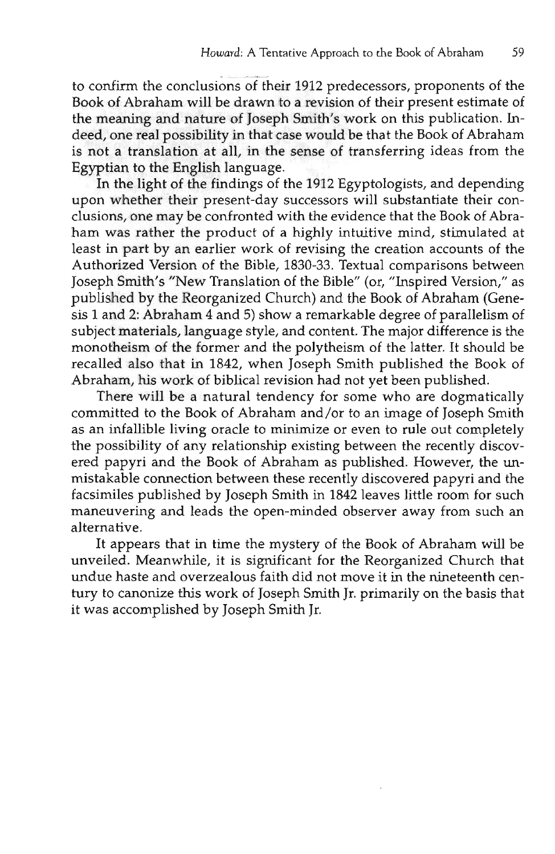to confirm the conclusions of their 1912 predecessors, proponents of the Book of Abraham will be drawn to a revision of their present estimate of the meaning and nature of Joseph Smith's work on this publication. Indeed, one real possibility in that case would be that the Book of Abraham is not a translation at all, in the sense of transferring ideas from the Egyptian to the English language.

In the light of the findings of the 1912 Egyptologists, and depending upon whether their present-day successors will substantiate their conclusions, one may be confronted with the evidence that the Book of Abraham was rather the product of a highly intuitive mind, stimulated at least in part by an earlier work of revising the creation accounts of the Authorized Version of the Bible, 1830-33. Textual comparisons between Joseph Smith's "New Translation of the Bible" (or, "Inspired Version," as published by the Reorganized Church) and the Book of Abraham (Genesis 1 and 2: Abraham 4 and 5) show a remarkable degree of parallelism of subject materials, language style, and content. The major difference is the monotheism of the former and the polytheism of the latter. It should be recalled also that in 1842, when Joseph Smith published the Book of Abraham, his work of biblical revision had not yet been published.

There will be a natural tendency for some who are dogmatically committed to the Book of Abraham and/or to an image of Joseph Smith as an infallible living oracle to minimize or even to rule out completely the possibility of any relationship existing between the recently discovered papyri and the Book of Abraham as published. However, the unmistakable connection between these recently discovered papyri and the facsimiles published by Joseph Smith in 1842 leaves little room for such maneuvering and leads the open-minded observer away from such an alternative.

It appears that in time the mystery of the Book of Abraham will be unveiled. Meanwhile, it is significant for the Reorganized Church that undue haste and overzealous faith did not move it in the nineteenth century to canonize this work of Joseph Smith Jr. primarily on the basis that it was accomplished by Joseph Smith Jr.